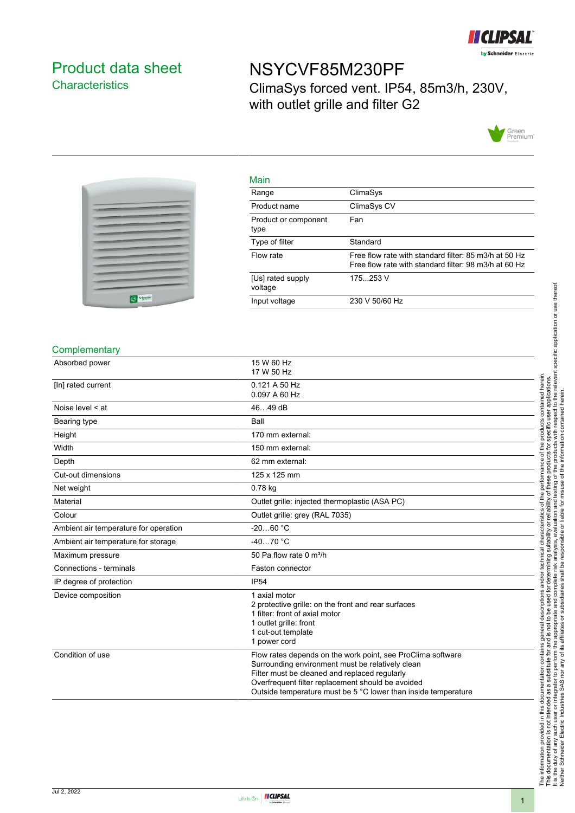

## <span id="page-0-0"></span>Product data sheet **Characteristics**

# NSYCVF85M230PF

Main

ClimaSys forced vent. IP54, 85m3/h, 230V, with outlet grille and filter G2





| main                         |                                                                                                                |
|------------------------------|----------------------------------------------------------------------------------------------------------------|
| Range                        | ClimaSys                                                                                                       |
| Product name                 | ClimaSys CV                                                                                                    |
| Product or component<br>type | Fan                                                                                                            |
| Type of filter               | Standard                                                                                                       |
| Flow rate                    | Free flow rate with standard filter: 85 m3/h at 50 Hz<br>Free flow rate with standard filter: 98 m3/h at 60 Hz |
| [Us] rated supply<br>voltage | 175253 V                                                                                                       |
| Input voltage                | 230 V 50/60 Hz                                                                                                 |

#### **Complementary**

| Absorbed power                        | 15 W 60 Hz<br>17 W 50 Hz                                                                                                                                                                                                                                                                |
|---------------------------------------|-----------------------------------------------------------------------------------------------------------------------------------------------------------------------------------------------------------------------------------------------------------------------------------------|
| [In] rated current                    | 0.121 A 50 Hz<br>0.097 A 60 Hz                                                                                                                                                                                                                                                          |
| Noise level $\leq$ at                 | 4649 dB                                                                                                                                                                                                                                                                                 |
| Bearing type                          | Ball                                                                                                                                                                                                                                                                                    |
| Height                                | 170 mm external:                                                                                                                                                                                                                                                                        |
| Width                                 | 150 mm external:                                                                                                                                                                                                                                                                        |
| Depth                                 | 62 mm external:                                                                                                                                                                                                                                                                         |
| Cut-out dimensions                    | 125 x 125 mm                                                                                                                                                                                                                                                                            |
| Net weight                            | $0.78$ kg                                                                                                                                                                                                                                                                               |
| Material                              | Outlet grille: injected thermoplastic (ASA PC)                                                                                                                                                                                                                                          |
| Colour                                | Outlet grille: grey (RAL 7035)                                                                                                                                                                                                                                                          |
| Ambient air temperature for operation | $-2060 °C$                                                                                                                                                                                                                                                                              |
| Ambient air temperature for storage   | $-4070 °C$                                                                                                                                                                                                                                                                              |
| Maximum pressure                      | 50 Pa flow rate 0 m <sup>3</sup> /h                                                                                                                                                                                                                                                     |
| Connections - terminals               | Faston connector                                                                                                                                                                                                                                                                        |
| IP degree of protection               | <b>IP54</b>                                                                                                                                                                                                                                                                             |
| Device composition                    | 1 axial motor<br>2 protective grille: on the front and rear surfaces<br>1 filter: front of axial motor<br>1 outlet grille: front<br>1 cut-out template<br>1 power cord                                                                                                                  |
| Condition of use                      | Flow rates depends on the work point, see ProClima software<br>Surrounding environment must be relatively clean<br>Filter must be cleaned and replaced regularly<br>Overfrequent filter replacement should be avoided<br>Outside temperature must be 5 °C lower than inside temperature |